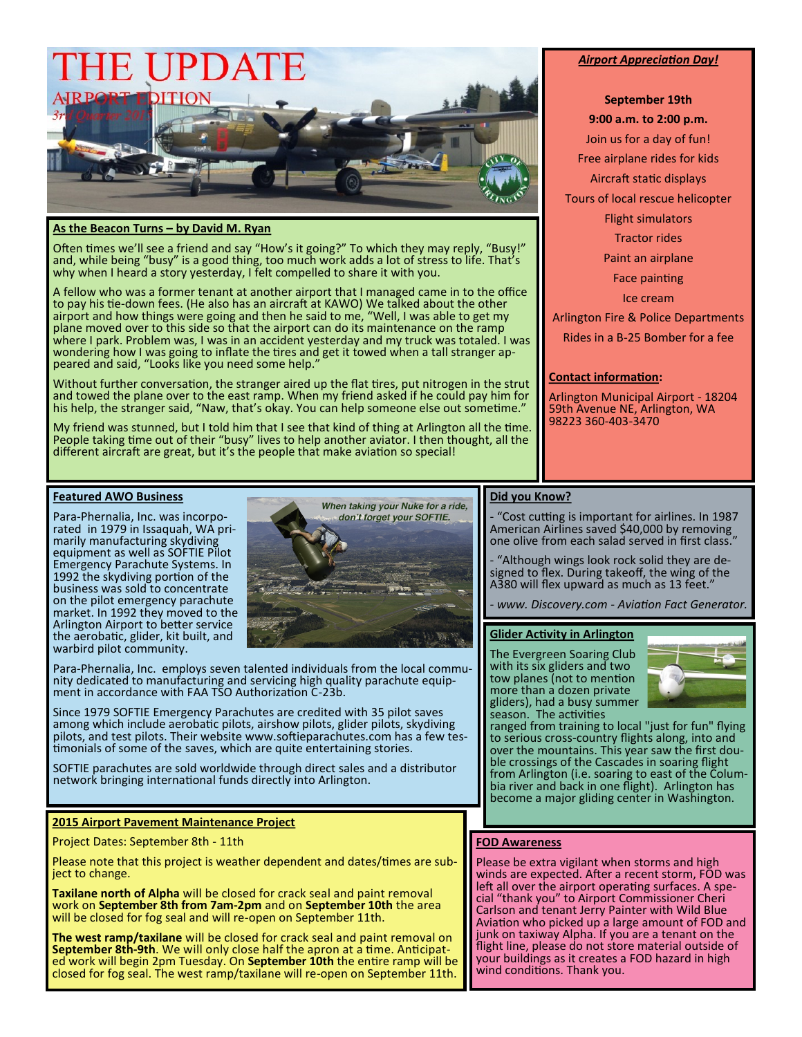

# **As the Beacon Turns – by David M. Ryan**

Often times we'll see a friend and say "How's it going?" To which they may reply, "Busy!" and, while being "busy" is a good thing, too much work adds a lot of stress to life. That's why when I heard a story yesterday, I felt compelled to share it with you.

A fellow who was a former tenant at another airport that I managed came in to the office to pay his tie-down fees. (He also has an aircraft at KAWO) We talked about the other airport and how things were going and then he said to me, "Well, I was able to get my plane moved over to this side so that the airport can do its maintenance on the ramp where I park. Problem was, I was in an accident yesterday and my truck was totaled. I was wondering how I was going to inflate the tires and get it towed when a tall stranger appeared and said, "Looks like you need some help.'

Without further conversation, the stranger aired up the flat tires, put nitrogen in the strut and towed the plane over to the east ramp. When my friend asked if he could pay him for his help, the stranger said, "Naw, that's okay. You can help someone else out sometime."

My friend was stunned, but I told him that I see that kind of thing at Arlington all the time. People taking time out of their "busy" lives to help another aviator. I then thought, all the different aircraft are great, but it's the people that make aviation so special!

#### *Airport Appreciation Day!*

**September 19th** 

**9:00 a.m. to 2:00 p.m.**

Join us for a day of fun!

Free airplane rides for kids

Aircraft static displays

Tours of local rescue helicopter

Flight simulators

Tractor rides

Paint an airplane

Face painting

Ice cream

Arlington Fire & Police Departments Rides in a B-25 Bomber for a fee

## **Contact information:**

Arlington Municipal Airport - 18204 59th Avenue NE, Arlington, WA 98223 360-403-3470

# **Featured AWO Business**

Para-Phernalia, Inc. was incorporated in 1979 in Issaquah, WA primarily manufacturing skydiving equipment as well as SOFTIE Pilot Emergency Parachute Systems. In 1992 the skydiving portion of the business was sold to concentrate on the pilot emergency parachute market. In 1992 they moved to the Arlington Airport to better service the aerobatic, glider, kit built, and warbird pilot community.



Para-Phernalia, Inc. employs seven talented individuals from the local community dedicated to manufacturing and servicing high quality parachute equipment in accordance with FAA TSO Authorization C-23b.

Since 1979 SOFTIE Emergency Parachutes are credited with 35 pilot saves among which include aerobatic pilots, airshow pilots, glider pilots, skydiving pilots, and test pilots. Their website www.softieparachutes.com has a few testimonials of some of the saves, which are quite entertaining stories.

SOFTIE parachutes are sold worldwide through direct sales and a distributor network bringing international funds directly into Arlington.

## **2015 Airport Pavement Maintenance Project**

Project Dates: September 8th - 11th

Please note that this project is weather dependent and dates/times are subject to change.

**Taxilane north of Alpha** will be closed for crack seal and paint removal work on **September 8th from 7am-2pm** and on **September 10th** the area will be closed for fog seal and will re-open on September 11th.

**The west ramp/taxilane** will be closed for crack seal and paint removal on **September 8th-9th**. We will only close half the apron at a time. Anticipated work will begin 2pm Tuesday. On **September 10th** the entire ramp will be closed for fog seal. The west ramp/taxilane will re-open on September 11th.

# **Did you Know?**

"Cost cutting is important for airlines. In 1987 American Airlines saved \$40,000 by removing one olive from each salad served in first class."

- "Although wings look rock solid they are designed to flex. During takeoff, the wing of the A380 will flex upward as much as 13 feet."

*- www. Discovery.com - Aviation Fact Generator.*

## **Glider Activity in Arlington**

The Evergreen Soaring Club with its six gliders and two tow planes (not to mention more than a dozen private gliders), had a busy summer season. The activities



ranged from training to local "just for fun" flying to serious cross-country flights along, into and over the mountains. This year saw the first double crossings of the Cascades in soaring flight from Arlington (i.e. soaring to east of the Columbia river and back in one flight). Arlington has become a major gliding center in Washington.

# **FOD Awareness**

Please be extra vigilant when storms and high winds are expected. After a recent storm, FOD was left all over the airport operating surfaces. A special "thank you" to Airport Commissioner Cheri Carlson and tenant Jerry Painter with Wild Blue Aviation who picked up a large amount of FOD and junk on taxiway Alpha. If you are a tenant on the flight line, please do not store material outside of your buildings as it creates a FOD hazard in high wind conditions. Thank you.